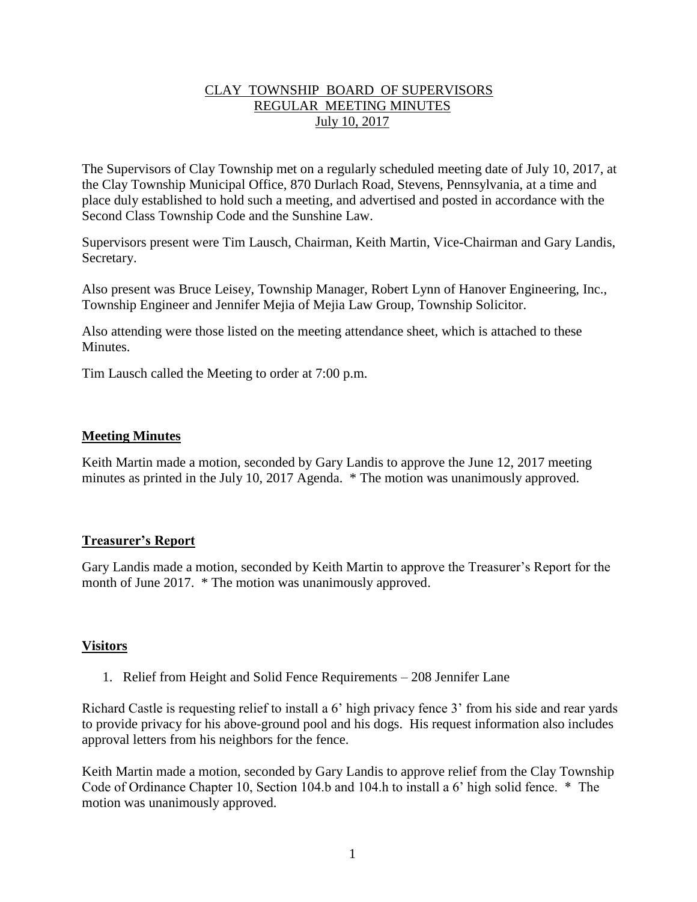# CLAY TOWNSHIP BOARD OF SUPERVISORS REGULAR MEETING MINUTES July 10, 2017

The Supervisors of Clay Township met on a regularly scheduled meeting date of July 10, 2017, at the Clay Township Municipal Office, 870 Durlach Road, Stevens, Pennsylvania, at a time and place duly established to hold such a meeting, and advertised and posted in accordance with the Second Class Township Code and the Sunshine Law.

Supervisors present were Tim Lausch, Chairman, Keith Martin, Vice-Chairman and Gary Landis, Secretary.

Also present was Bruce Leisey, Township Manager, Robert Lynn of Hanover Engineering, Inc., Township Engineer and Jennifer Mejia of Mejia Law Group, Township Solicitor.

Also attending were those listed on the meeting attendance sheet, which is attached to these **Minutes** 

Tim Lausch called the Meeting to order at 7:00 p.m.

# **Meeting Minutes**

Keith Martin made a motion, seconded by Gary Landis to approve the June 12, 2017 meeting minutes as printed in the July 10, 2017 Agenda. \* The motion was unanimously approved.

## **Treasurer's Report**

Gary Landis made a motion, seconded by Keith Martin to approve the Treasurer's Report for the month of June 2017. \* The motion was unanimously approved.

## **Visitors**

1. Relief from Height and Solid Fence Requirements – 208 Jennifer Lane

Richard Castle is requesting relief to install a 6' high privacy fence 3' from his side and rear yards to provide privacy for his above-ground pool and his dogs. His request information also includes approval letters from his neighbors for the fence.

Keith Martin made a motion, seconded by Gary Landis to approve relief from the Clay Township Code of Ordinance Chapter 10, Section 104.b and 104.h to install a 6' high solid fence. \* The motion was unanimously approved.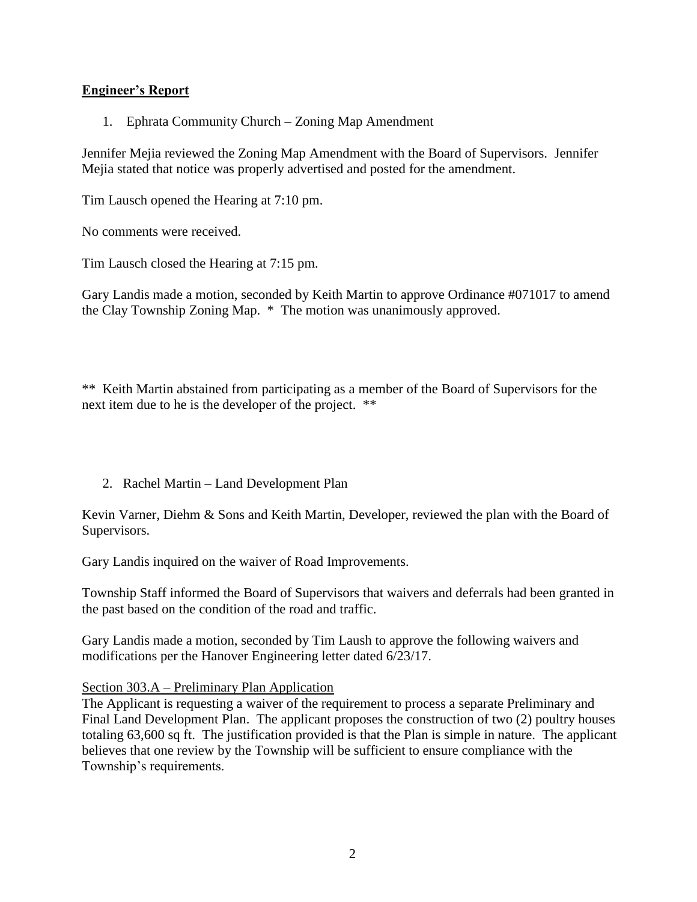# **Engineer's Report**

1. Ephrata Community Church – Zoning Map Amendment

Jennifer Mejia reviewed the Zoning Map Amendment with the Board of Supervisors. Jennifer Mejia stated that notice was properly advertised and posted for the amendment.

Tim Lausch opened the Hearing at 7:10 pm.

No comments were received.

Tim Lausch closed the Hearing at 7:15 pm.

Gary Landis made a motion, seconded by Keith Martin to approve Ordinance #071017 to amend the Clay Township Zoning Map. \* The motion was unanimously approved.

\*\* Keith Martin abstained from participating as a member of the Board of Supervisors for the next item due to he is the developer of the project. \*\*

2. Rachel Martin – Land Development Plan

Kevin Varner, Diehm & Sons and Keith Martin, Developer, reviewed the plan with the Board of Supervisors.

Gary Landis inquired on the waiver of Road Improvements.

Township Staff informed the Board of Supervisors that waivers and deferrals had been granted in the past based on the condition of the road and traffic.

Gary Landis made a motion, seconded by Tim Laush to approve the following waivers and modifications per the Hanover Engineering letter dated 6/23/17.

# Section 303.A – Preliminary Plan Application

The Applicant is requesting a waiver of the requirement to process a separate Preliminary and Final Land Development Plan. The applicant proposes the construction of two (2) poultry houses totaling 63,600 sq ft. The justification provided is that the Plan is simple in nature. The applicant believes that one review by the Township will be sufficient to ensure compliance with the Township's requirements.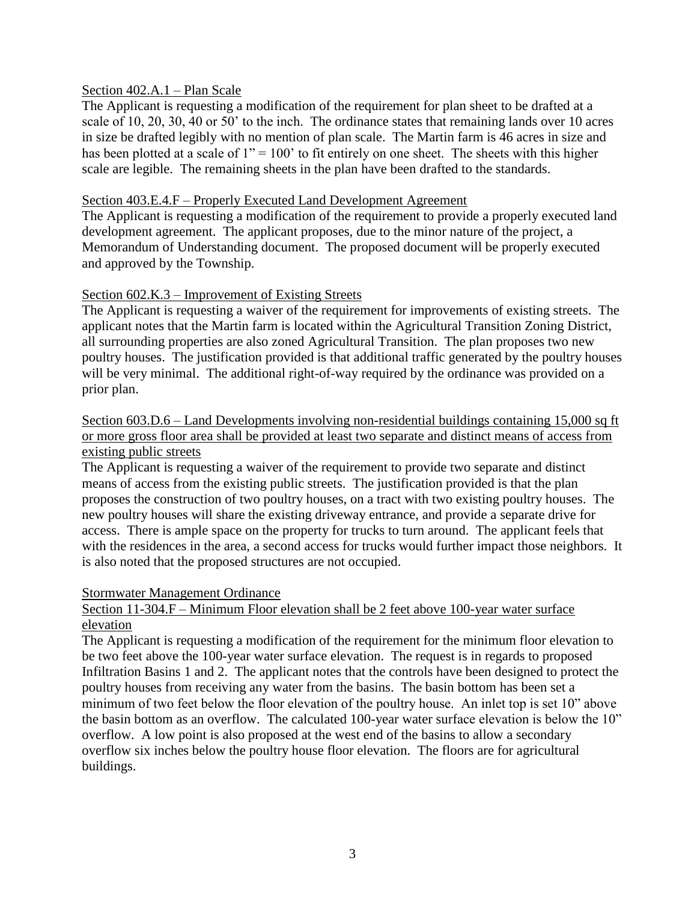## Section 402.A.1 – Plan Scale

The Applicant is requesting a modification of the requirement for plan sheet to be drafted at a scale of 10, 20, 30, 40 or 50' to the inch. The ordinance states that remaining lands over 10 acres in size be drafted legibly with no mention of plan scale. The Martin farm is 46 acres in size and has been plotted at a scale of  $1" = 100'$  to fit entirely on one sheet. The sheets with this higher scale are legible. The remaining sheets in the plan have been drafted to the standards.

## Section 403.E.4.F – Properly Executed Land Development Agreement

The Applicant is requesting a modification of the requirement to provide a properly executed land development agreement. The applicant proposes, due to the minor nature of the project, a Memorandum of Understanding document. The proposed document will be properly executed and approved by the Township.

## Section 602.K.3 – Improvement of Existing Streets

The Applicant is requesting a waiver of the requirement for improvements of existing streets. The applicant notes that the Martin farm is located within the Agricultural Transition Zoning District, all surrounding properties are also zoned Agricultural Transition. The plan proposes two new poultry houses. The justification provided is that additional traffic generated by the poultry houses will be very minimal. The additional right-of-way required by the ordinance was provided on a prior plan.

# Section 603.D.6 – Land Developments involving non-residential buildings containing 15,000 sq ft or more gross floor area shall be provided at least two separate and distinct means of access from existing public streets

The Applicant is requesting a waiver of the requirement to provide two separate and distinct means of access from the existing public streets. The justification provided is that the plan proposes the construction of two poultry houses, on a tract with two existing poultry houses. The new poultry houses will share the existing driveway entrance, and provide a separate drive for access. There is ample space on the property for trucks to turn around. The applicant feels that with the residences in the area, a second access for trucks would further impact those neighbors. It is also noted that the proposed structures are not occupied.

#### Stormwater Management Ordinance

# Section 11-304.F – Minimum Floor elevation shall be 2 feet above 100-year water surface elevation

The Applicant is requesting a modification of the requirement for the minimum floor elevation to be two feet above the 100-year water surface elevation. The request is in regards to proposed Infiltration Basins 1 and 2. The applicant notes that the controls have been designed to protect the poultry houses from receiving any water from the basins. The basin bottom has been set a minimum of two feet below the floor elevation of the poultry house. An inlet top is set 10" above the basin bottom as an overflow. The calculated 100-year water surface elevation is below the 10" overflow. A low point is also proposed at the west end of the basins to allow a secondary overflow six inches below the poultry house floor elevation. The floors are for agricultural buildings.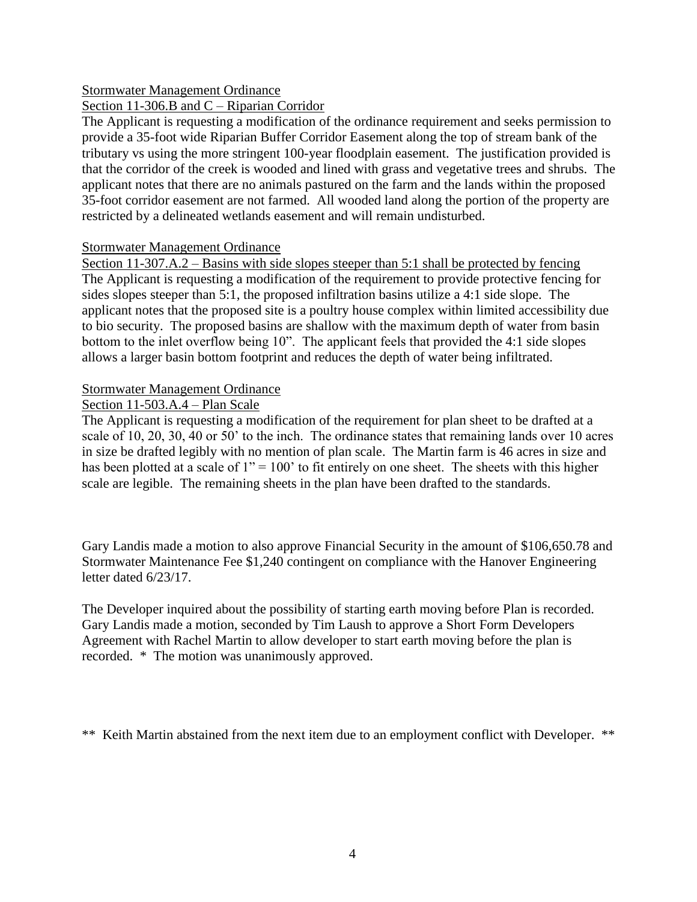# Stormwater Management Ordinance

Section 11-306.B and C – Riparian Corridor

The Applicant is requesting a modification of the ordinance requirement and seeks permission to provide a 35-foot wide Riparian Buffer Corridor Easement along the top of stream bank of the tributary vs using the more stringent 100-year floodplain easement. The justification provided is that the corridor of the creek is wooded and lined with grass and vegetative trees and shrubs. The applicant notes that there are no animals pastured on the farm and the lands within the proposed 35-foot corridor easement are not farmed. All wooded land along the portion of the property are restricted by a delineated wetlands easement and will remain undisturbed.

## Stormwater Management Ordinance

Section 11-307.A.2 – Basins with side slopes steeper than 5:1 shall be protected by fencing The Applicant is requesting a modification of the requirement to provide protective fencing for sides slopes steeper than 5:1, the proposed infiltration basins utilize a 4:1 side slope. The applicant notes that the proposed site is a poultry house complex within limited accessibility due to bio security. The proposed basins are shallow with the maximum depth of water from basin bottom to the inlet overflow being 10". The applicant feels that provided the 4:1 side slopes allows a larger basin bottom footprint and reduces the depth of water being infiltrated.

# Stormwater Management Ordinance

# Section 11-503.A.4 – Plan Scale

The Applicant is requesting a modification of the requirement for plan sheet to be drafted at a scale of 10, 20, 30, 40 or 50' to the inch. The ordinance states that remaining lands over 10 acres in size be drafted legibly with no mention of plan scale. The Martin farm is 46 acres in size and has been plotted at a scale of  $1" = 100"$  to fit entirely on one sheet. The sheets with this higher scale are legible. The remaining sheets in the plan have been drafted to the standards.

Gary Landis made a motion to also approve Financial Security in the amount of \$106,650.78 and Stormwater Maintenance Fee \$1,240 contingent on compliance with the Hanover Engineering letter dated 6/23/17.

The Developer inquired about the possibility of starting earth moving before Plan is recorded. Gary Landis made a motion, seconded by Tim Laush to approve a Short Form Developers Agreement with Rachel Martin to allow developer to start earth moving before the plan is recorded. \* The motion was unanimously approved.

\*\* Keith Martin abstained from the next item due to an employment conflict with Developer. \*\*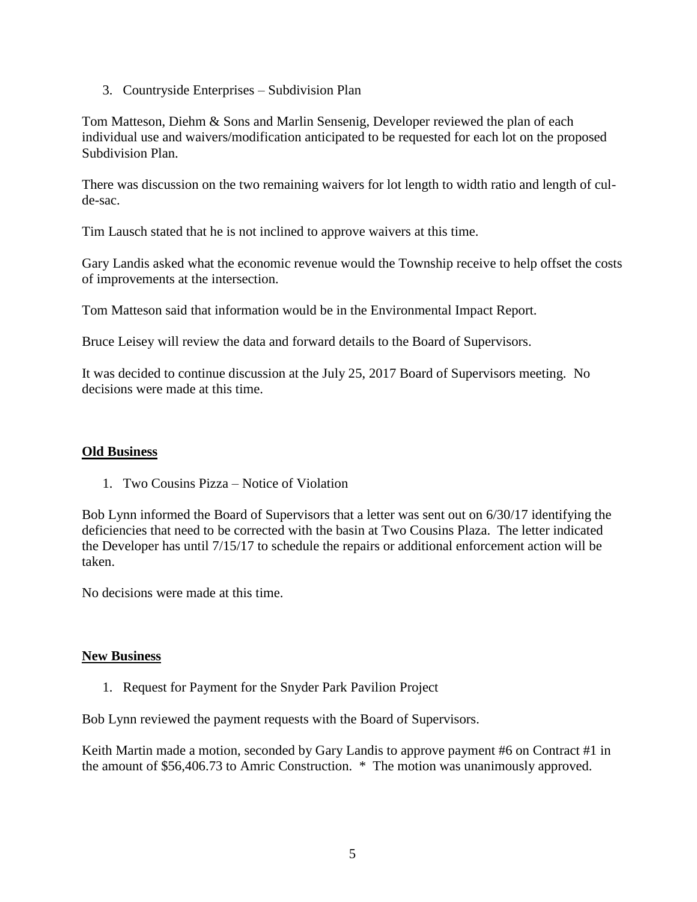3. Countryside Enterprises – Subdivision Plan

Tom Matteson, Diehm & Sons and Marlin Sensenig, Developer reviewed the plan of each individual use and waivers/modification anticipated to be requested for each lot on the proposed Subdivision Plan.

There was discussion on the two remaining waivers for lot length to width ratio and length of culde-sac.

Tim Lausch stated that he is not inclined to approve waivers at this time.

Gary Landis asked what the economic revenue would the Township receive to help offset the costs of improvements at the intersection.

Tom Matteson said that information would be in the Environmental Impact Report.

Bruce Leisey will review the data and forward details to the Board of Supervisors.

It was decided to continue discussion at the July 25, 2017 Board of Supervisors meeting. No decisions were made at this time.

## **Old Business**

1. Two Cousins Pizza – Notice of Violation

Bob Lynn informed the Board of Supervisors that a letter was sent out on 6/30/17 identifying the deficiencies that need to be corrected with the basin at Two Cousins Plaza. The letter indicated the Developer has until 7/15/17 to schedule the repairs or additional enforcement action will be taken.

No decisions were made at this time.

## **New Business**

1. Request for Payment for the Snyder Park Pavilion Project

Bob Lynn reviewed the payment requests with the Board of Supervisors.

Keith Martin made a motion, seconded by Gary Landis to approve payment #6 on Contract #1 in the amount of \$56,406.73 to Amric Construction. \* The motion was unanimously approved.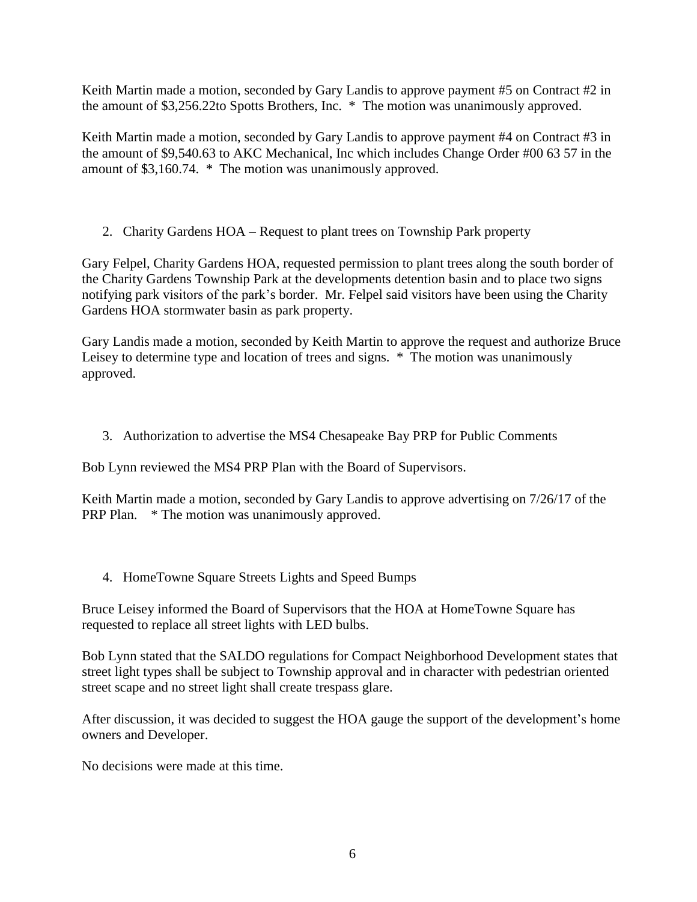Keith Martin made a motion, seconded by Gary Landis to approve payment #5 on Contract #2 in the amount of \$3,256.22to Spotts Brothers, Inc. \* The motion was unanimously approved.

Keith Martin made a motion, seconded by Gary Landis to approve payment #4 on Contract #3 in the amount of \$9,540.63 to AKC Mechanical, Inc which includes Change Order #00 63 57 in the amount of \$3,160.74. \* The motion was unanimously approved.

2. Charity Gardens HOA – Request to plant trees on Township Park property

Gary Felpel, Charity Gardens HOA, requested permission to plant trees along the south border of the Charity Gardens Township Park at the developments detention basin and to place two signs notifying park visitors of the park's border. Mr. Felpel said visitors have been using the Charity Gardens HOA stormwater basin as park property.

Gary Landis made a motion, seconded by Keith Martin to approve the request and authorize Bruce Leisey to determine type and location of trees and signs.  $*$  The motion was unanimously approved.

3. Authorization to advertise the MS4 Chesapeake Bay PRP for Public Comments

Bob Lynn reviewed the MS4 PRP Plan with the Board of Supervisors.

Keith Martin made a motion, seconded by Gary Landis to approve advertising on 7/26/17 of the PRP Plan. \* The motion was unanimously approved.

4. HomeTowne Square Streets Lights and Speed Bumps

Bruce Leisey informed the Board of Supervisors that the HOA at HomeTowne Square has requested to replace all street lights with LED bulbs.

Bob Lynn stated that the SALDO regulations for Compact Neighborhood Development states that street light types shall be subject to Township approval and in character with pedestrian oriented street scape and no street light shall create trespass glare.

After discussion, it was decided to suggest the HOA gauge the support of the development's home owners and Developer.

No decisions were made at this time.